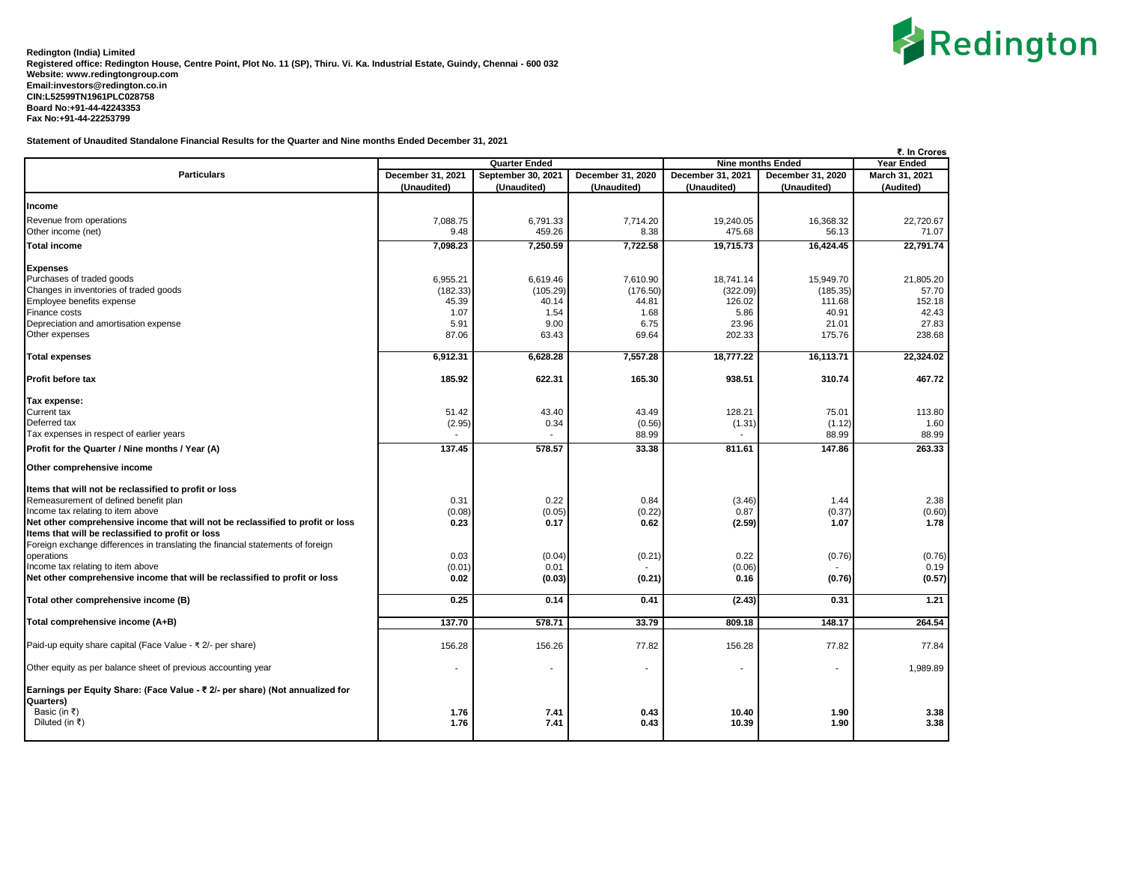

**Statement of Unaudited Standalone Financial Results for the Quarter and Nine months Ended December 31, 2021**

|                                                                                                                                     |              | <b>Quarter Ended</b> |                   | <b>Nine months Ended</b> | ₹. In Crores<br><b>Year Ended</b> |                             |
|-------------------------------------------------------------------------------------------------------------------------------------|--------------|----------------------|-------------------|--------------------------|-----------------------------------|-----------------------------|
| <b>Particulars</b><br>December 31, 2020<br>December 31, 2021<br>September 30, 2021                                                  |              |                      | December 31, 2021 |                          |                                   |                             |
|                                                                                                                                     | (Unaudited)  | (Unaudited)          | (Unaudited)       | (Unaudited)              | December 31, 2020<br>(Unaudited)  | March 31, 2021<br>(Audited) |
|                                                                                                                                     |              |                      |                   |                          |                                   |                             |
| Income                                                                                                                              |              |                      |                   |                          |                                   |                             |
| Revenue from operations                                                                                                             | 7,088.75     | 6,791.33             | 7,714.20          | 19,240.05                | 16,368.32                         | 22,720.67                   |
| Other income (net)                                                                                                                  | 9.48         | 459.26               | 8.38              | 475.68                   | 56.13                             | 71.07                       |
| <b>Total income</b>                                                                                                                 | 7,098.23     | 7,250.59             | 7,722.58          | 19,715.73                | 16,424.45                         | 22,791.74                   |
| <b>Expenses</b>                                                                                                                     |              |                      |                   |                          |                                   |                             |
| Purchases of traded goods                                                                                                           | 6,955.21     | 6,619.46             | 7,610.90          | 18,741.14                | 15,949.70                         | 21,805.20                   |
| Changes in inventories of traded goods                                                                                              | (182.33)     | (105.29)             | (176.50)          | (322.09)                 | (185.35)                          | 57.70                       |
| Employee benefits expense                                                                                                           | 45.39        | 40.14                | 44.81             | 126.02                   | 111.68                            | 152.18                      |
| Finance costs                                                                                                                       | 1.07         | 1.54                 | 1.68              | 5.86                     | 40.91                             | 42.43                       |
| Depreciation and amortisation expense                                                                                               | 5.91         | 9.00                 | 6.75              | 23.96                    | 21.01                             | 27.83                       |
| Other expenses                                                                                                                      | 87.06        | 63.43                | 69.64             | 202.33                   | 175.76                            | 238.68                      |
| <b>Total expenses</b>                                                                                                               | 6,912.31     | 6,628.28             | 7,557.28          | 18,777.22                | 16,113.71                         | 22,324.02                   |
| Profit before tax                                                                                                                   | 185.92       | 622.31               | 165.30            | 938.51                   | 310.74                            | 467.72                      |
| Tax expense:                                                                                                                        |              |                      |                   |                          |                                   |                             |
| Current tax                                                                                                                         | 51.42        | 43.40                | 43.49             | 128.21                   | 75.01                             | 113.80                      |
| Deferred tax                                                                                                                        | (2.95)       | 0.34                 | (0.56)            | (1.31)                   | (1.12)                            | 1.60                        |
| Tax expenses in respect of earlier years                                                                                            |              |                      | 88.99             |                          | 88.99                             | 88.99                       |
| Profit for the Quarter / Nine months / Year (A)                                                                                     | 137.45       | 578.57               | 33.38             | 811.61                   | 147.86                            | 263.33                      |
| Other comprehensive income                                                                                                          |              |                      |                   |                          |                                   |                             |
| Items that will not be reclassified to profit or loss                                                                               |              |                      |                   |                          |                                   |                             |
| Remeasurement of defined benefit plan                                                                                               | 0.31         | 0.22                 | 0.84              | (3.46)                   | 1.44                              | 2.38                        |
| Income tax relating to item above                                                                                                   | (0.08)       | (0.05)               | (0.22)            | 0.87                     | (0.37)                            | (0.60)                      |
| Net other comprehensive income that will not be reclassified to profit or loss<br>Items that will be reclassified to profit or loss | 0.23         | 0.17                 | 0.62              | (2.59)                   | 1.07                              | 1.78                        |
| Foreign exchange differences in translating the financial statements of foreign                                                     |              |                      |                   |                          |                                   |                             |
| operations                                                                                                                          | 0.03         | (0.04)               | (0.21)            | 0.22                     | (0.76)                            | (0.76)                      |
| Income tax relating to item above                                                                                                   | (0.01)       | 0.01                 |                   | (0.06)                   |                                   | 0.19                        |
| Net other comprehensive income that will be reclassified to profit or loss                                                          | 0.02         | (0.03)               | (0.21)            | 0.16                     | (0.76)                            | (0.57)                      |
| Total other comprehensive income (B)                                                                                                | 0.25         | 0.14                 | 0.41              | (2.43)                   | 0.31                              | 1.21                        |
| Total comprehensive income (A+B)                                                                                                    | 137.70       | 578.71               | 33.79             | 809.18                   | 148.17                            | 264.54                      |
| Paid-up equity share capital (Face Value - ₹ 2/- per share)                                                                         | 156.28       | 156.26               | 77.82             | 156.28                   | 77.82                             | 77.84                       |
| Other equity as per balance sheet of previous accounting year                                                                       |              |                      | $\overline{a}$    |                          |                                   | 1,989.89                    |
| Earnings per Equity Share: (Face Value - ₹ 2/- per share) (Not annualized for<br>Quarters)                                          |              |                      |                   |                          |                                   |                             |
| Basic (in ₹)<br>Diluted (in ₹)                                                                                                      | 1.76<br>1.76 | 7.41<br>7.41         | 0.43<br>0.43      | 10.40<br>10.39           | 1.90<br>1.90                      | 3.38<br>3.38                |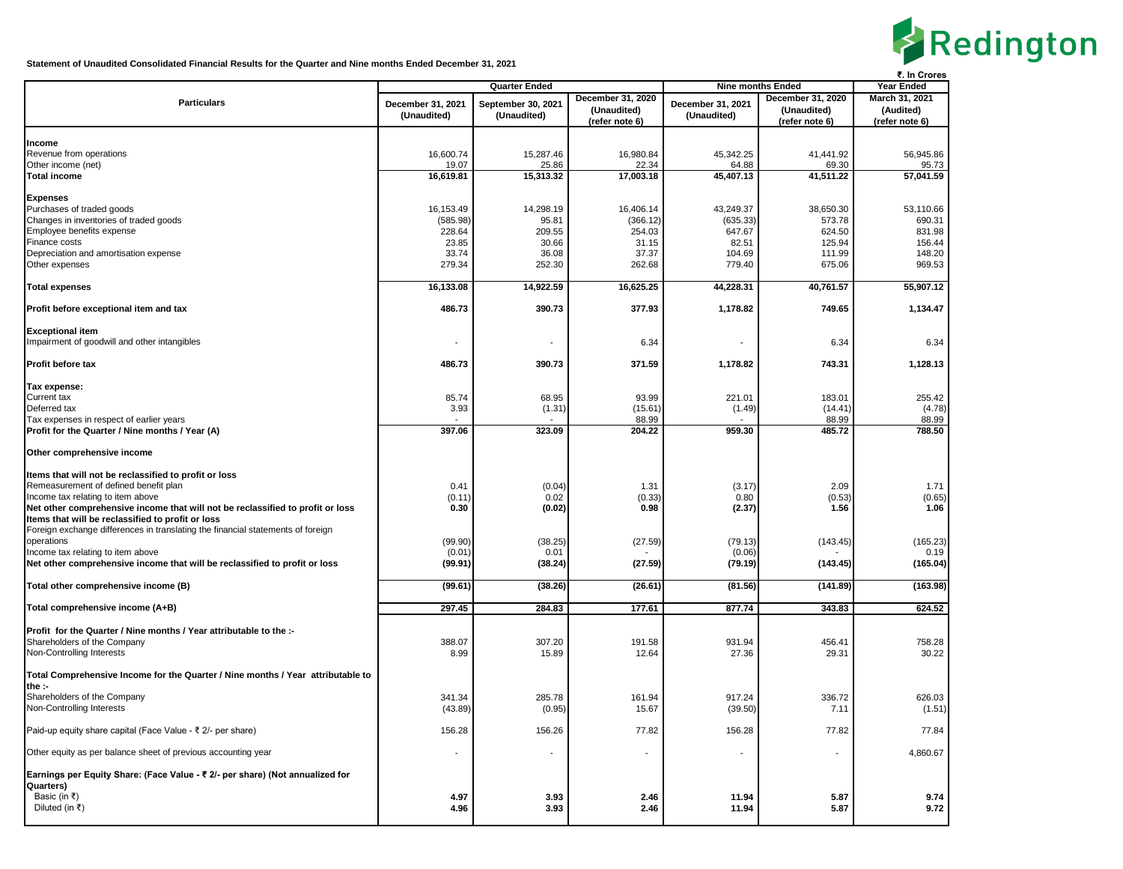

**Statement of Unaudited Consolidated Financial Results for the Quarter and Nine months Ended December 31, 2021**

|                                                                                 |                          |                                   |                          |                                  |                   | ₹. In Crores    |
|---------------------------------------------------------------------------------|--------------------------|-----------------------------------|--------------------------|----------------------------------|-------------------|-----------------|
|                                                                                 |                          | <b>Quarter Ended</b>              | <b>Nine months Ended</b> | Year Ended                       |                   |                 |
| <b>Particulars</b>                                                              | December 31, 2021        |                                   | December 31, 2020        |                                  | December 31, 2020 | March 31, 2021  |
|                                                                                 | (Unaudited)              | September 30, 2021<br>(Unaudited) | (Unaudited)              | December 31, 2021<br>(Unaudited) | (Unaudited)       | (Audited)       |
|                                                                                 |                          |                                   | (refer note 6)           |                                  | (refer note 6)    | (refer note 6)  |
|                                                                                 |                          |                                   |                          |                                  |                   |                 |
| Income                                                                          |                          |                                   |                          |                                  |                   |                 |
| Revenue from operations                                                         | 16,600.74                | 15,287.46                         | 16,980.84                | 45,342.25                        | 41,441.92         | 56,945.86       |
| Other income (net)                                                              | 19.07                    | 25.86                             | 22.34                    | 64.88                            | 69.30             | 95.73           |
| <b>Total income</b>                                                             | 16,619.81                | 15,313.32                         | 17,003.18                | 45,407.13                        | 41,511.22         | 57,041.59       |
|                                                                                 |                          |                                   |                          |                                  |                   |                 |
| <b>Expenses</b>                                                                 |                          |                                   |                          |                                  |                   |                 |
| Purchases of traded goods                                                       | 16,153.49                | 14,298.19                         | 16,406.14                | 43,249.37                        | 38,650.30         | 53,110.66       |
| Changes in inventories of traded goods                                          | (585.98)                 | 95.81                             | (366.12)                 | (635.33)                         | 573.78            | 690.31          |
| Employee benefits expense                                                       | 228.64                   | 209.55                            | 254.03                   | 647.67                           | 624.50            | 831.98          |
| Finance costs                                                                   | 23.85                    | 30.66                             | 31.15                    | 82.51                            | 125.94            | 156.44          |
| Depreciation and amortisation expense                                           | 33.74                    | 36.08                             | 37.37                    | 104.69                           | 111.99            | 148.20          |
| Other expenses                                                                  | 279.34                   | 252.30                            | 262.68                   | 779.40                           | 675.06            | 969.53          |
|                                                                                 |                          |                                   |                          |                                  |                   |                 |
| <b>Total expenses</b>                                                           | 16,133.08                | 14,922.59                         | 16,625.25                | 44,228.31                        | 40,761.57         | 55,907.12       |
|                                                                                 |                          |                                   |                          |                                  |                   |                 |
| Profit before exceptional item and tax                                          | 486.73                   | 390.73                            | 377.93                   | 1,178.82                         | 749.65            | 1,134.47        |
|                                                                                 |                          |                                   |                          |                                  |                   |                 |
| <b>Exceptional item</b>                                                         |                          |                                   |                          |                                  |                   |                 |
| Impairment of goodwill and other intangibles                                    | $\overline{\phantom{a}}$ |                                   | 6.34                     |                                  | 6.34              | 6.34            |
|                                                                                 |                          |                                   |                          |                                  |                   |                 |
| <b>Profit before tax</b>                                                        | 486.73                   | 390.73                            | 371.59                   | 1,178.82                         | 743.31            | 1,128.13        |
|                                                                                 |                          |                                   |                          |                                  |                   |                 |
| Tax expense:                                                                    |                          |                                   |                          |                                  |                   |                 |
| Current tax<br>Deferred tax                                                     | 85.74<br>3.93            | 68.95                             | 93.99                    | 221.01                           | 183.01            | 255.42          |
| Tax expenses in respect of earlier years                                        |                          | (1.31)                            | (15.61)                  | (1.49)                           | (14.41)           | (4.78)          |
| Profit for the Quarter / Nine months / Year (A)                                 |                          |                                   | 88.99                    | 959.30                           | 88.99             | 88.99<br>788.50 |
|                                                                                 | 397.06                   | 323.09                            | 204.22                   |                                  | 485.72            |                 |
| Other comprehensive income                                                      |                          |                                   |                          |                                  |                   |                 |
|                                                                                 |                          |                                   |                          |                                  |                   |                 |
| Items that will not be reclassified to profit or loss                           |                          |                                   |                          |                                  |                   |                 |
| Remeasurement of defined benefit plan                                           | 0.41                     | (0.04)                            | 1.31                     | (3.17)                           | 2.09              | 1.71            |
| Income tax relating to item above                                               | (0.11)                   | 0.02                              | (0.33)                   | 0.80                             | (0.53)            | (0.65)          |
| Net other comprehensive income that will not be reclassified to profit or loss  | 0.30                     | (0.02)                            | 0.98                     | (2.37)                           | 1.56              | 1.06            |
| Items that will be reclassified to profit or loss                               |                          |                                   |                          |                                  |                   |                 |
| Foreign exchange differences in translating the financial statements of foreign |                          |                                   |                          |                                  |                   |                 |
| operations                                                                      | (99.90)                  | (38.25)                           | (27.59)                  | (79.13)                          | (143.45)          | (165.23)        |
| Income tax relating to item above                                               | (0.01)                   | 0.01                              |                          | (0.06)                           |                   | 0.19            |
| Net other comprehensive income that will be reclassified to profit or loss      | (99.91)                  | (38.24)                           | (27.59)                  | (79.19)                          | (143.45)          | (165.04)        |
|                                                                                 |                          |                                   |                          |                                  |                   |                 |
| Total other comprehensive income (B)                                            | (99.61)                  | (38.26)                           | (26.61)                  | (81.56)                          | (141.89)          | (163.98)        |
|                                                                                 |                          |                                   |                          |                                  |                   |                 |
| Total comprehensive income (A+B)                                                | 297.45                   | 284.83                            | 177.61                   | 877.74                           | 343.83            | 624.52          |
|                                                                                 |                          |                                   |                          |                                  |                   |                 |
| Profit for the Quarter / Nine months / Year attributable to the :-              |                          |                                   |                          |                                  |                   |                 |
| Shareholders of the Company                                                     | 388.07                   | 307.20                            | 191.58                   | 931.94                           | 456.41            | 758.28          |
| Non-Controlling Interests                                                       | 8.99                     | 15.89                             | 12.64                    | 27.36                            | 29.31             | 30.22           |
|                                                                                 |                          |                                   |                          |                                  |                   |                 |
| Total Comprehensive Income for the Quarter / Nine months / Year attributable to |                          |                                   |                          |                                  |                   |                 |
| the :-                                                                          |                          |                                   |                          |                                  |                   |                 |
| Shareholders of the Company                                                     | 341.34                   | 285.78                            | 161.94                   | 917.24                           | 336.72            | 626.03          |
| Non-Controlling Interests                                                       | (43.89)                  | (0.95)                            | 15.67                    | (39.50)                          | 7.11              | (1.51)          |
|                                                                                 |                          |                                   |                          |                                  |                   |                 |
| Paid-up equity share capital (Face Value - ₹ 2/- per share)                     | 156.28                   | 156.26                            | 77.82                    | 156.28                           | 77.82             | 77.84           |
|                                                                                 |                          |                                   |                          |                                  |                   |                 |
| Other equity as per balance sheet of previous accounting year                   |                          |                                   |                          |                                  |                   | 4,860.67        |
|                                                                                 |                          |                                   |                          |                                  |                   |                 |
| Earnings per Equity Share: (Face Value - ₹ 2/- per share) (Not annualized for   |                          |                                   |                          |                                  |                   |                 |
| Quarters)                                                                       |                          |                                   |                          |                                  |                   |                 |
| Basic (in ₹)                                                                    | 4.97                     | 3.93                              | 2.46                     | 11.94                            | 5.87              | 9.74            |
| Diluted (in ₹)                                                                  | 4.96                     | 3.93                              | 2.46                     | 11.94                            | 5.87              | 9.72            |
|                                                                                 |                          |                                   |                          |                                  |                   |                 |